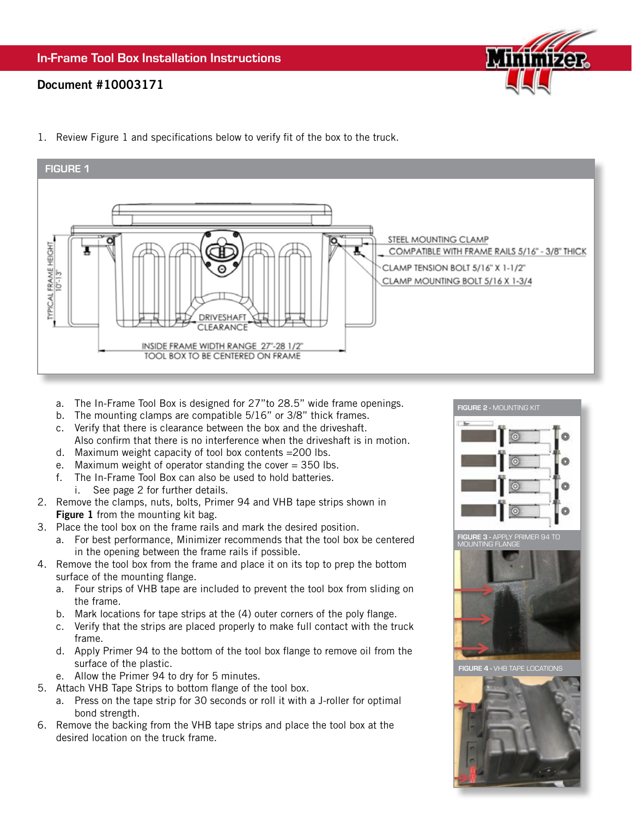## Document #10003171



- FIGURE 1 STEEL MOUNTING CLAMP **TYPICAL FRAME HEIGHT** COMPATIBLE WITH FRAME RAILS 5/16" - 3/8" THICK CLAMP TENSION BOLT 5/16" X 1-1/2" CLAMP MOUNTING BOLT 5/16 X 1-3/4 DRIVESHAF **CLEARANCE** INSIDE FRAME WIDTH RANGE 27"-28 1/2" TOOL BOX TO BE CENTERED ON FRAME
- 1. Review Figure 1 and specifications below to verify fit of the box to the truck.

- a. The In-Frame Tool Box is designed for 27"to 28.5" wide frame openings.
- b. The mounting clamps are compatible 5/16" or 3/8" thick frames.
- c. Verify that there is clearance between the box and the driveshaft. Also confirm that there is no interference when the driveshaft is in motion.
- d. Maximum weight capacity of tool box contents =200 lbs.
- e. Maximum weight of operator standing the cover  $=$  350 lbs.
- f. The In-Frame Tool Box can also be used to hold batteries.
- i. See page 2 for further details.
- 2. Remove the clamps, nuts, bolts, Primer 94 and VHB tape strips shown in Figure 1 from the mounting kit bag.
- 3. Place the tool box on the frame rails and mark the desired position.
	- a. For best performance, Minimizer recommends that the tool box be centered in the opening between the frame rails if possible.
- 4. Remove the tool box from the frame and place it on its top to prep the bottom surface of the mounting flange.
	- a. Four strips of VHB tape are included to prevent the tool box from sliding on the frame.
	- b. Mark locations for tape strips at the (4) outer corners of the poly flange.
	- c. Verify that the strips are placed properly to make full contact with the truck frame.
	- d. Apply Primer 94 to the bottom of the tool box flange to remove oil from the surface of the plastic.
	- e. Allow the Primer 94 to dry for 5 minutes.
- 5. Attach VHB Tape Strips to bottom flange of the tool box.
	- a. Press on the tape strip for 30 seconds or roll it with a J-roller for optimal bond strength.
- 6. Remove the backing from the VHB tape strips and place the tool box at the desired location on the truck frame.

FIGURE 2 - MOUNTING KIT ö Ō ā FIGURE 3 - APPLY PRIMER 94 TO



**FIGURE 4 - VHB TAPE LOCATION**